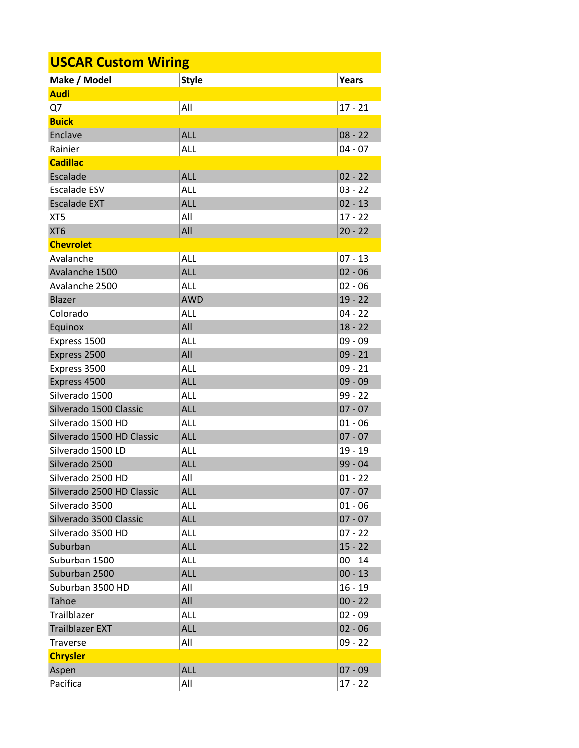| <b>USCAR Custom Wiring</b> |              |              |  |  |
|----------------------------|--------------|--------------|--|--|
| Make / Model               | <b>Style</b> | <b>Years</b> |  |  |
| <b>Audi</b>                |              |              |  |  |
| Q7                         | All          | $17 - 21$    |  |  |
| <b>Buick</b>               |              |              |  |  |
| Enclave                    | ALL          | $08 - 22$    |  |  |
| Rainier                    | ALL          | $04 - 07$    |  |  |
| <b>Cadillac</b>            |              |              |  |  |
| Escalade                   | <b>ALL</b>   | $02 - 22$    |  |  |
| <b>Escalade ESV</b>        | ALL          | $03 - 22$    |  |  |
| <b>Escalade EXT</b>        | <b>ALL</b>   | $02 - 13$    |  |  |
| XT <sub>5</sub>            | All          | $17 - 22$    |  |  |
| XT <sub>6</sub>            | All          | $20 - 22$    |  |  |
| <b>Chevrolet</b>           |              |              |  |  |
| Avalanche                  | <b>ALL</b>   | $07 - 13$    |  |  |
| Avalanche 1500             | <b>ALL</b>   | $02 - 06$    |  |  |
| Avalanche 2500             | ALL          | $02 - 06$    |  |  |
| Blazer                     | <b>AWD</b>   | $19 - 22$    |  |  |
| Colorado                   | ALL          | $04 - 22$    |  |  |
| Equinox                    | All          | $18 - 22$    |  |  |
| Express 1500               | <b>ALL</b>   | $09 - 09$    |  |  |
| Express 2500               | All          | $09 - 21$    |  |  |
| Express 3500               | <b>ALL</b>   | $09 - 21$    |  |  |
| Express 4500               | <b>ALL</b>   | $09 - 09$    |  |  |
| Silverado 1500             | <b>ALL</b>   | $99 - 22$    |  |  |
| Silverado 1500 Classic     | <b>ALL</b>   | $07 - 07$    |  |  |
| Silverado 1500 HD          | <b>ALL</b>   | 01 - 06      |  |  |
| Silverado 1500 HD Classic  | <b>ALL</b>   | $07 - 07$    |  |  |
| Silverado 1500 LD          | <b>ALL</b>   | $19 - 19$    |  |  |
| Silverado 2500             | <b>ALL</b>   | 99 - 04      |  |  |
| Silverado 2500 HD          | All          | $01 - 22$    |  |  |
| Silverado 2500 HD Classic  | <b>ALL</b>   | $07 - 07$    |  |  |
| Silverado 3500             | ALL          | $01 - 06$    |  |  |
| Silverado 3500 Classic     | <b>ALL</b>   | $07 - 07$    |  |  |
| Silverado 3500 HD          | ALL          | $07 - 22$    |  |  |
| Suburban                   | <b>ALL</b>   | $15 - 22$    |  |  |
| Suburban 1500              | ALL          | $00 - 14$    |  |  |
| Suburban 2500              | <b>ALL</b>   | $00 - 13$    |  |  |
| Suburban 3500 HD           | All          | $16 - 19$    |  |  |
| Tahoe                      | All          | $00 - 22$    |  |  |
| Trailblazer                | ALL          | $02 - 09$    |  |  |
| <b>Trailblazer EXT</b>     | <b>ALL</b>   | $02 - 06$    |  |  |
| Traverse                   | All          | $09 - 22$    |  |  |
| <b>Chrysler</b>            |              |              |  |  |
| Aspen                      | <b>ALL</b>   | $07 - 09$    |  |  |
| Pacifica                   | All          | $17 - 22$    |  |  |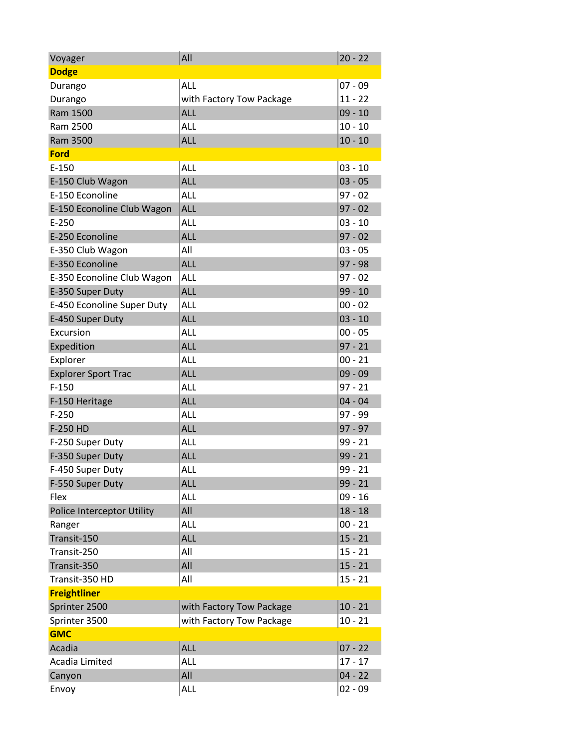| Voyager                    | All                      | $20 - 22$ |
|----------------------------|--------------------------|-----------|
| <b>Dodge</b>               |                          |           |
| Durango                    | ALL                      | $07 - 09$ |
| Durango                    | with Factory Tow Package | $11 - 22$ |
| Ram 1500                   | ALL                      | $09 - 10$ |
| Ram 2500                   | ALL                      | $10 - 10$ |
| Ram 3500                   | <b>ALL</b>               | $10 - 10$ |
| <b>Ford</b>                |                          |           |
| $E-150$                    | ALL                      | $03 - 10$ |
| E-150 Club Wagon           | <b>ALL</b>               | $03 - 05$ |
| E-150 Econoline            | <b>ALL</b>               | $97 - 02$ |
| E-150 Econoline Club Wagon | <b>ALL</b>               | $97 - 02$ |
| $E-250$                    | <b>ALL</b>               | $03 - 10$ |
| E-250 Econoline            | ALL                      | $97 - 02$ |
| E-350 Club Wagon           | All                      | $03 - 05$ |
| E-350 Econoline            | <b>ALL</b>               | $97 - 98$ |
| E-350 Econoline Club Wagon | <b>ALL</b>               | $97 - 02$ |
| E-350 Super Duty           | <b>ALL</b>               | $99 - 10$ |
| E-450 Econoline Super Duty | <b>ALL</b>               | $00 - 02$ |
| E-450 Super Duty           | <b>ALL</b>               | $03 - 10$ |
| Excursion                  | ALL                      | $00 - 05$ |
| Expedition                 | <b>ALL</b>               | $97 - 21$ |
| Explorer                   | ALL                      | $00 - 21$ |
| <b>Explorer Sport Trac</b> | <b>ALL</b>               | $09 - 09$ |
| $F-150$                    | <b>ALL</b>               | $97 - 21$ |
| F-150 Heritage             | <b>ALL</b>               | $04 - 04$ |
| $F-250$                    | <b>ALL</b>               | 97 - 99   |
| F-250 HD                   | <b>ALL</b>               | $97 - 97$ |
| F-250 Super Duty           | ALL                      | $99 - 21$ |
| F-350 Super Duty           | <b>ALL</b>               | $99 - 21$ |
| F-450 Super Duty           | ALL                      | $99 - 21$ |
| F-550 Super Duty           | <b>ALL</b>               | $99 - 21$ |
| Flex                       | ALL                      | $09 - 16$ |
| Police Interceptor Utility | All                      | $18 - 18$ |
| Ranger                     | ALL                      | $00 - 21$ |
| Transit-150                | ALL                      | $15 - 21$ |
| Transit-250                | All                      | $15 - 21$ |
| Transit-350                | All                      | $15 - 21$ |
| Transit-350 HD             | All                      | $15 - 21$ |
| <b>Freightliner</b>        |                          |           |
| Sprinter 2500              | with Factory Tow Package | $10 - 21$ |
| Sprinter 3500              | with Factory Tow Package | $10 - 21$ |
| <b>GMC</b>                 |                          |           |
| Acadia                     | ALL                      | $07 - 22$ |
| Acadia Limited             | ALL                      | $17 - 17$ |
| Canyon                     | All                      | $04 - 22$ |
| Envoy                      | ALL                      | $02 - 09$ |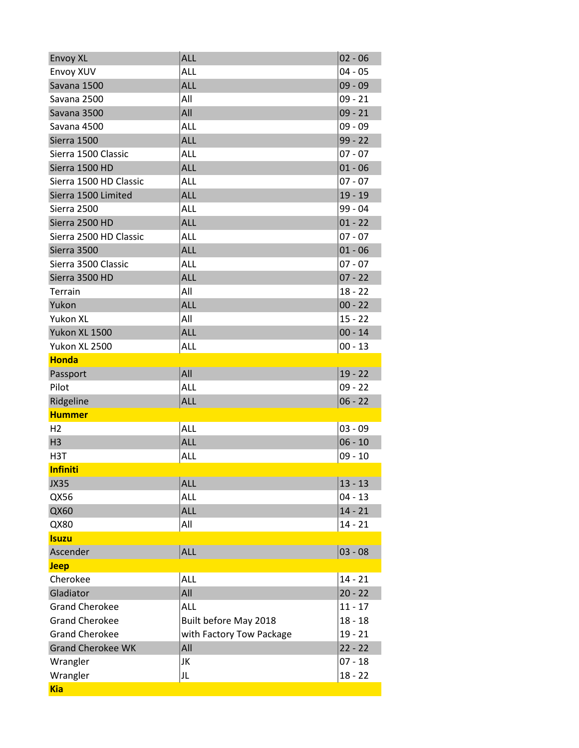| <b>Envoy XL</b>          | <b>ALL</b>               | $02 - 06$ |
|--------------------------|--------------------------|-----------|
| Envoy XUV                | <b>ALL</b>               | $04 - 05$ |
| Savana 1500              | <b>ALL</b>               | $09 - 09$ |
| Savana 2500              | All                      | $09 - 21$ |
| Savana 3500              | All                      | $09 - 21$ |
| Savana 4500              | <b>ALL</b>               | 09 - 09   |
| Sierra 1500              | <b>ALL</b>               | $99 - 22$ |
| Sierra 1500 Classic      | ALL                      | $07 - 07$ |
| Sierra 1500 HD           | <b>ALL</b>               | $01 - 06$ |
| Sierra 1500 HD Classic   | <b>ALL</b>               | $07 - 07$ |
| Sierra 1500 Limited      | <b>ALL</b>               | $19 - 19$ |
| Sierra 2500              | ALL                      | 99 - 04   |
| Sierra 2500 HD           | <b>ALL</b>               | $01 - 22$ |
| Sierra 2500 HD Classic   | ALL                      | $07 - 07$ |
| Sierra 3500              | <b>ALL</b>               | $01 - 06$ |
| Sierra 3500 Classic      | <b>ALL</b>               | $07 - 07$ |
| Sierra 3500 HD           | <b>ALL</b>               | $07 - 22$ |
| Terrain                  | All                      | $18 - 22$ |
| Yukon                    | <b>ALL</b>               | $00 - 22$ |
| Yukon XL                 | All                      | $15 - 22$ |
| Yukon XL 1500            | <b>ALL</b>               | $00 - 14$ |
| Yukon XL 2500            | ALL                      | $00 - 13$ |
| <b>Honda</b>             |                          |           |
| Passport                 | All                      | $19 - 22$ |
| Pilot                    | <b>ALL</b>               | $09 - 22$ |
| Ridgeline                | <b>ALL</b>               | $06 - 22$ |
| <b>Hummer</b>            |                          |           |
| H <sub>2</sub>           | <b>ALL</b>               | $03 - 09$ |
| H <sub>3</sub>           | <b>ALL</b>               | $06 - 10$ |
| H <sub>3</sub> T         | <b>ALL</b>               | $09 - 10$ |
| <b>Infiniti</b>          |                          |           |
| <b>JX35</b>              | <b>ALL</b>               | $13 - 13$ |
| QX56                     | <b>ALL</b>               | $04 - 13$ |
| QX60                     | <b>ALL</b>               | $14 - 21$ |
| QX80                     | All                      | $14 - 21$ |
| <b>Isuzu</b>             |                          |           |
| Ascender                 | <b>ALL</b>               | $03 - 08$ |
| <b>Jeep</b>              |                          |           |
| Cherokee                 | <b>ALL</b>               | $14 - 21$ |
| Gladiator                | All                      | $20 - 22$ |
| <b>Grand Cherokee</b>    | ALL                      | $11 - 17$ |
| <b>Grand Cherokee</b>    | Built before May 2018    | $18 - 18$ |
| <b>Grand Cherokee</b>    | with Factory Tow Package | $19 - 21$ |
| <b>Grand Cherokee WK</b> | All                      | $22 - 22$ |
| Wrangler                 | JK                       | $07 - 18$ |
| Wrangler                 | JL                       | $18 - 22$ |
| <b>Kia</b>               |                          |           |